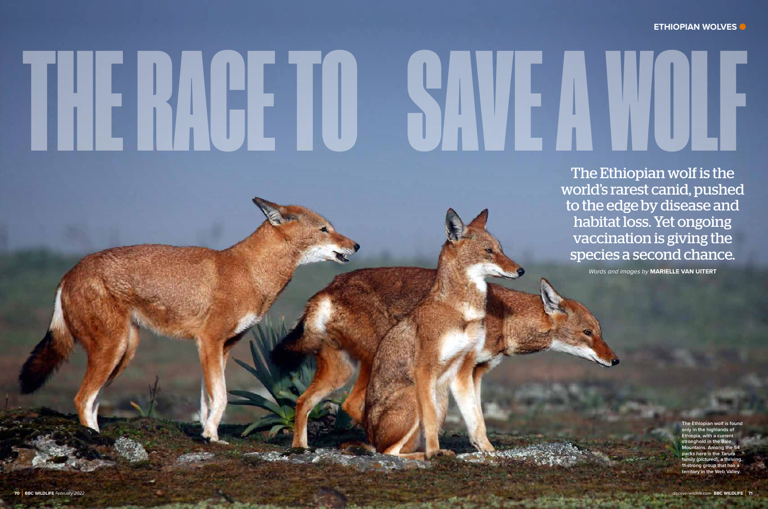The Ethiopian wolf is the world's rarest canid, pushed to the edge by disease and habitat loss. Yet ongoing vaccination is giving the species a second chance.

*Words and images by* **MARIELLE VAN UITERT**

**The Ethiopian wolf is found only in the highlands of Ethiopia, with a current stronghold in the Bale Mountains. Among the 54 packs here is the Tarura family (***pictured***), a thriving, 11-strong group that has a territory in the Web Valley.**

# THE RACE TO SAVE A WOLF

# **ETHIOPIAN WOLVES**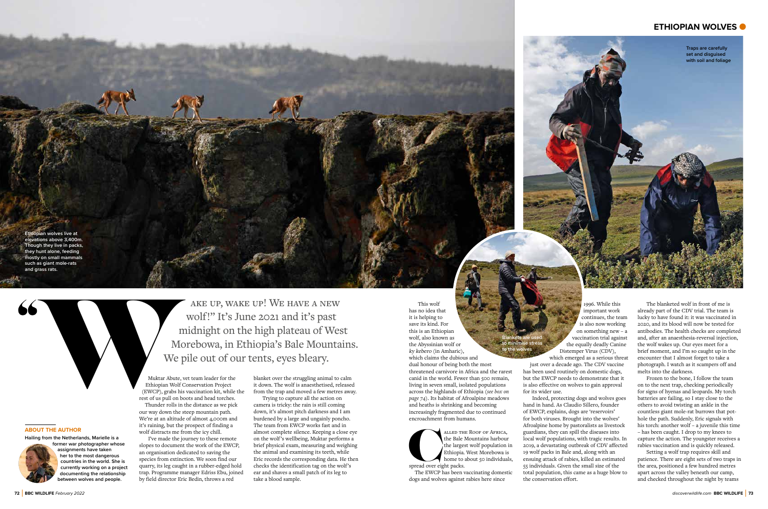Muktar Abute, vet team leader for the Ethiopian Wolf Conservation Project (EWCP), grabs his vaccination kit, while the rest of us pull on boots and head torches.

 Thunder rolls in the distance as we pick our way down the steep mountain path. We're at an altitude of almost 4,000m and it's raining, but the prospect of finding a wolf distracts me from the icy chill.

I've made the journey to these remote slopes to document the work of the EWCP, an organisation dedicated to saving the species from extinction. We soon find our quarry, its leg caught in a rubber-edged hold trap. Programme manager Edriss Ebu, joined by field director Eric Bedin, throws a red

blanket over the struggling animal to calm it down. The wolf is anaesthetised, released from the trap and moved a few metres away.

Trying to capture all the action on camera is tricky: the rain is still coming down, it's almost pitch darkness and I am burdened by a large and ungainly poncho. The team from EWCP works fast and in almost complete silence. Keeping a close eye on the wolf's wellbeing, Muktar performs a brief physical exam, measuring and weighing the animal and examining its teeth, while Eric records the corresponding data. He then checks the identification tag on the wolf's ear and shaves a small patch of its leg to take a blood sample.

### **ABOUT THE AUTHOR**

**Hailing from the Netherlands, Marielle is a former war photographer whose** 



**her to the most dangerous countries in the world. She is currently working on a project documenting the relationship between wolves and people.**

# **ETHIOPIAN WOLVES** ●

**E E E E WOLVES EXECUTE elevations above 3,400m. Though they live in packs, they hunt alone, feeding mostly on small mammals such as giant mole-rats and grass rats.** 

> ake up, wake up! We have a new wolf!" It's June 2021 and it's past midnight on the high plateau of West Morebowa, in Ethiopia's Bale Mountains. We pile out of our tents, eyes bleary. AKE UP, WAKE UP! WE HAVE A NEW<br>
> WOIF!'" It's June 2021 and it's past<br>
> midnight on the high plateau of West<br>
> Morebowa, in Ethiopia's Bale Mountains.<br>
> Morebowa, in Ethiopia's Bale Mountains.<br>
> We pile out of our tents, eyes b

This wolf has no idea that it is helping to save its kind. For this is an Ethiopian wolf, also known as the Abyssinian wolf or ky kebero (in Amharic), which claims the dubious and dual honour of being both the most threatened carnivore in Africa and the rarest canid in the world. Fewer than 500 remain, living in seven small, isolated populations across the highlands of Ethiopia (*see box on page 74*). Its habitat of Afroalpine meadows and heaths is shrinking and becoming increasingly fragmented due to continued encroachment from humans.



 The EWCP has been vaccinating domestic dogs and wolves against rabies here since

1996. While this important work continues, the team is also now working on something new – a vaccination trial against the equally deadly Canine Distemper Virus (CDV), which emerged as a serious threat just over a decade ago. The CDV vaccine has been used routinely on domestic dogs, but the EWCP needs to demonstrate that it is also effective on wolves to gain approval

for its wider use.

Indeed, protecting dogs and wolves goes hand in hand. As Claudio Sillero, founder of EWCP, explains, dogs are 'reservoirs' for both viruses. Brought into the wolves' Afroalpine home by pastoralists as livestock guardians, they can spill the diseases into local wolf populations, with tragic results. In 2019, a devastating outbreak of CDV affected 19 wolf packs in Bale and, along with an ensuing attack of rabies, killed an estimated 55 individuals. Given the small size of the total population, this came as a huge blow to the conservation effort.

**Traps are carefully set and disguised with soil and foliage**

> The blanketed wolf in front of me is already part of the CDV trial. The team is lucky to have found it: it was vaccinated in 2020, and its blood will now be tested for antibodies. The health checks are completed and, after an anaesthesia-reversal injection, the wolf wakes up. Our eyes meet for a brief moment, and I'm so caught up in the encounter that I almost forget to take a photograph. I watch as it scampers off and melts into the darkness.

> Frozen to the bone, I follow the team on to the next trap, checking periodically for signs of hyenas and leopards. My torch batteries are failing, so I stay close to the others to avoid twisting an ankle in the countless giant mole-rat burrows that pothole the path. Suddenly, Eric signals with his torch: another wolf – a juvenile this time – has been caught. I drop to my knees to capture the action. The youngster receives a rabies vaccination and is quickly released.

Setting a wolf trap requires skill and patience. There are eight sets of two traps in the area, positioned a few hundred metres apart across the valley beneath our camp, and checked throughout the night by teams

**Blankets are used**